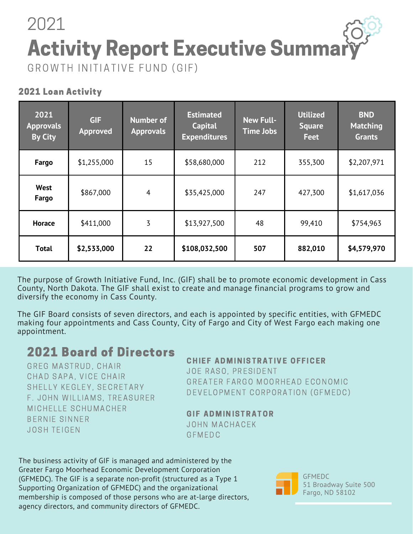# **Activity Report Executive Summar** 2021 GROWTH INITIATIVE FUND (GIF)

### 2021 Loan Activity

| 2021<br><b>Approvals</b><br><b>By City</b> | <b>GIF</b><br><b>Approved</b> | <b>Number of</b><br><b>Approvals</b> | <b>Estimated</b><br><b>Capital</b><br><b>Expenditures</b> | <b>New Full-</b><br><b>Time Jobs</b> | <b>Utilized</b><br><b>Square</b><br><b>Feet</b> | <b>BND</b><br><b>Matching</b><br><b>Grants</b> |
|--------------------------------------------|-------------------------------|--------------------------------------|-----------------------------------------------------------|--------------------------------------|-------------------------------------------------|------------------------------------------------|
| Fargo                                      | \$1,255,000                   | 15                                   | \$58,680,000                                              | 212                                  | 355,300                                         | \$2,207,971                                    |
| <b>West</b><br>Fargo                       | \$867,000                     | $\overline{4}$                       | \$35,425,000                                              | 247                                  | 427,300                                         | \$1,617,036                                    |
| Horace                                     | \$411,000                     | 3                                    | \$13,927,500                                              | 48                                   | 99,410                                          | \$754,963                                      |
| <b>Total</b>                               | \$2,533,000                   | 22                                   | \$108,032,500                                             | 507                                  | 882,010                                         | \$4,579,970                                    |

The purpose of Growth Initiative Fund, Inc. (GIF) shall be to promote economic development in Cass County, North Dakota. The GIF shall exist to create and manage financial programs to grow and diversify the economy in Cass County.

The GIF Board consists of seven directors, and each is appointed by specific entities, with GFMEDC making four appointments and Cass County, City of Fargo and City of West Fargo each making one appointment.

## 2021 Board of Directors

GREG MASTRUD, CHAIR CHAD SAPA, VICE CHAIR SHELLY KEGLEY, SECRETARY F. JOHN WILLIAMS, TREASURER MICHELLE SCHUMACHER BERNIE SINNER **JOSH TEIGEN** 

#### **CHIEF ADMINISTRATIVE OFFICER**

JOE RASO, PRESIDENT GREATER FARGO MOORHEAD ECONOMIC DEVELOPMENT CORPORATION (GFMEDC)

#### **GIF ADMINISTRATOR**

JOHN MACHACEK **GFMEDC** 

The business activity of GIF is managed and administered by the Greater Fargo Moorhead Economic Development Corporation (GFMEDC). The GIF is a separate non-profit (structured as a Type 1 Supporting Organization of GFMEDC) and the organizational membership is composed of those persons who are at-large directors, agency directors, and community directors of GFMEDC.